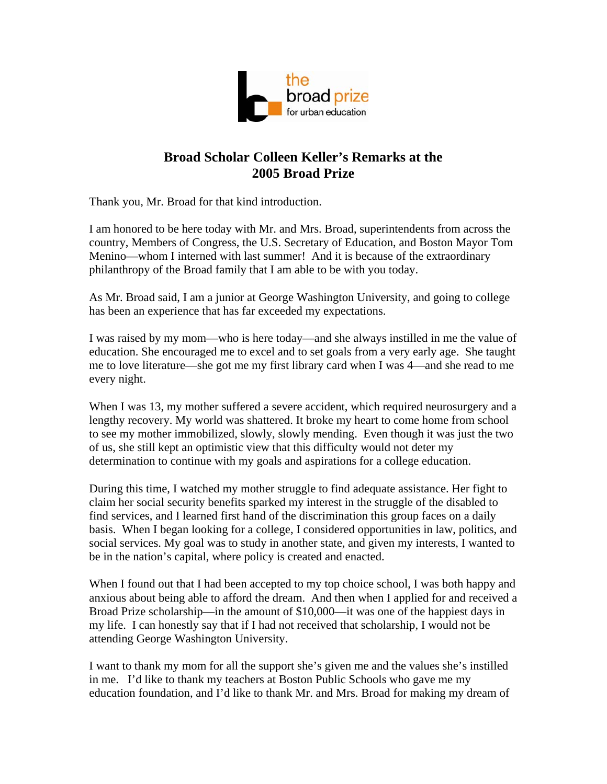

## **Broad Scholar Colleen Keller's Remarks at the 2005 Broad Prize**

Thank you, Mr. Broad for that kind introduction.

I am honored to be here today with Mr. and Mrs. Broad, superintendents from across the country, Members of Congress, the U.S. Secretary of Education, and Boston Mayor Tom Menino—whom I interned with last summer! And it is because of the extraordinary philanthropy of the Broad family that I am able to be with you today.

As Mr. Broad said, I am a junior at George Washington University, and going to college has been an experience that has far exceeded my expectations.

I was raised by my mom—who is here today—and she always instilled in me the value of education. She encouraged me to excel and to set goals from a very early age. She taught me to love literature—she got me my first library card when I was 4—and she read to me every night.

When I was 13, my mother suffered a severe accident, which required neurosurgery and a lengthy recovery. My world was shattered. It broke my heart to come home from school to see my mother immobilized, slowly, slowly mending. Even though it was just the two of us, she still kept an optimistic view that this difficulty would not deter my determination to continue with my goals and aspirations for a college education.

During this time, I watched my mother struggle to find adequate assistance. Her fight to claim her social security benefits sparked my interest in the struggle of the disabled to find services, and I learned first hand of the discrimination this group faces on a daily basis. When I began looking for a college, I considered opportunities in law, politics, and social services. My goal was to study in another state, and given my interests, I wanted to be in the nation's capital, where policy is created and enacted.

When I found out that I had been accepted to my top choice school, I was both happy and anxious about being able to afford the dream. And then when I applied for and received a Broad Prize scholarship—in the amount of \$10,000—it was one of the happiest days in my life. I can honestly say that if I had not received that scholarship, I would not be attending George Washington University.

I want to thank my mom for all the support she's given me and the values she's instilled in me. I'd like to thank my teachers at Boston Public Schools who gave me my education foundation, and I'd like to thank Mr. and Mrs. Broad for making my dream of